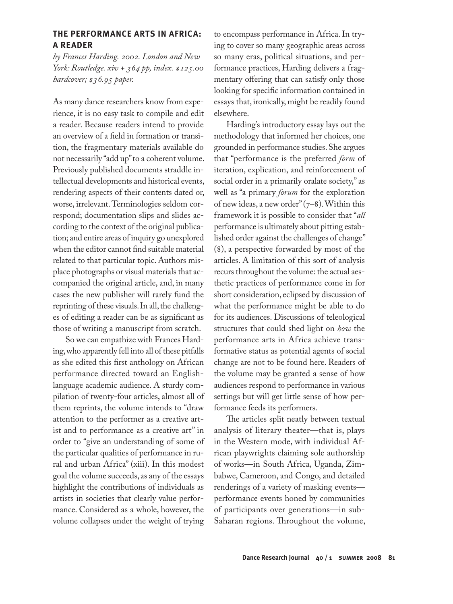## **THE PERFORMANCE ARTS IN AFRICA: A READER**

*by Frances Harding. 2002. London and New York: Routledge. xiv + 364 pp, index. \$125.00 hardcover; \$36.95 paper.*

As many dance researchers know from experience, it is no easy task to compile and edit a reader. Because readers intend to provide an overview of a field in formation or transition, the fragmentary materials available do not necessarily "add up" to a coherent volume. Previously published documents straddle intellectual developments and historical events, rendering aspects of their contents dated or, worse, irrelevant. Terminologies seldom correspond; documentation slips and slides according to the context of the original publication; and entire areas of inquiry go unexplored when the editor cannot find suitable material related to that particular topic. Authors misplace photographs or visual materials that accompanied the original article, and, in many cases the new publisher will rarely fund the reprinting of these visuals. In all, the challenges of editing a reader can be as significant as those of writing a manuscript from scratch.

So we can empathize with Frances Harding, who apparently fell into all of these pitfalls as she edited this first anthology on African performance directed toward an Englishlanguage academic audience. A sturdy compilation of twenty-four articles, almost all of them reprints, the volume intends to "draw attention to the performer as a creative artist and to performance as a creative art" in order to "give an understanding of some of the particular qualities of performance in rural and urban Africa" (xiii). In this modest goal the volume succeeds, as any of the essays highlight the contributions of individuals as artists in societies that clearly value performance. Considered as a whole, however, the volume collapses under the weight of trying

to encompass performance in Africa. In trying to cover so many geographic areas across so many eras, political situations, and performance practices, Harding delivers a fragmentary offering that can satisfy only those looking for specific information contained in essays that, ironically, might be readily found elsewhere.

Harding's introductory essay lays out the methodology that informed her choices, one grounded in performance studies. She argues that "performance is the preferred *form* of iteration, explication, and reinforcement of social order in a primarily oralate society," as well as "a primary *forum* for the exploration of new ideas, a new order"  $(7-8)$ . Within this framework it is possible to consider that "*all* performance is ultimately about pitting established order against the challenges of change" (8), a perspective forwarded by most of the articles. A limitation of this sort of analysis recurs throughout the volume: the actual aesthetic practices of performance come in for short consideration, eclipsed by discussion of what the performance might be able to do for its audiences. Discussions of teleological structures that could shed light on *how* the performance arts in Africa achieve transformative status as potential agents of social change are not to be found here. Readers of the volume may be granted a sense of how audiences respond to performance in various settings but will get little sense of how performance feeds its performers.

The articles split neatly between textual analysis of literary theater—that is, plays in the Western mode, with individual African playwrights claiming sole authorship of works—in South Africa, Uganda, Zimbabwe, Cameroon, and Congo, and detailed renderings of a variety of masking events performance events honed by communities of participants over generations—in sub-Saharan regions. Throughout the volume,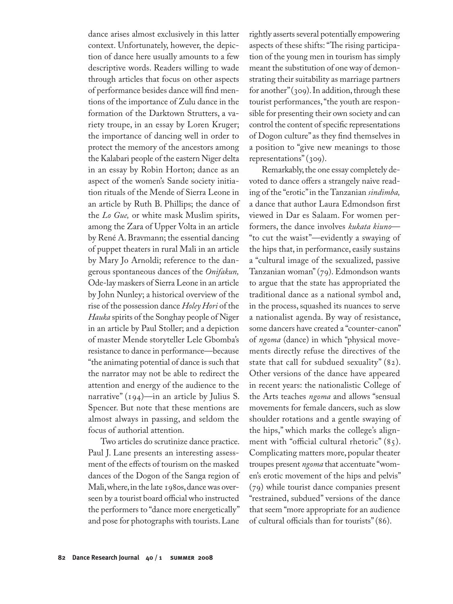dance arises almost exclusively in this latter context. Unfortunately, however, the depiction of dance here usually amounts to a few descriptive words. Readers willing to wade through articles that focus on other aspects of performance besides dance will find mentions of the importance of Zulu dance in the formation of the Darktown Strutters, a variety troupe, in an essay by Loren Kruger; the importance of dancing well in order to protect the memory of the ancestors among the Kalabari people of the eastern Niger delta in an essay by Robin Horton; dance as an aspect of the women's Sande society initiation rituals of the Mende of Sierra Leone in an article by Ruth B. Phillips; the dance of the *Lo Gue,* or white mask Muslim spirits, among the Zara of Upper Volta in an article by René A. Bravmann; the essential dancing of puppet theaters in rural Mali in an article by Mary Jo Arnoldi; reference to the dangerous spontaneous dances of the *Onifakun,* Ode-lay maskers of Sierra Leone in an article by John Nunley; a historical overview of the rise of the possession dance *Holey Hori* of the *Hauka* spirits of the Songhay people of Niger in an article by Paul Stoller; and a depiction of master Mende storyteller Lele Gbomba's resistance to dance in performance—because "the animating potential of dance is such that the narrator may not be able to redirect the attention and energy of the audience to the narrative" (194)—in an article by Julius S. Spencer. But note that these mentions are almost always in passing, and seldom the focus of authorial attention.

Two articles do scrutinize dance practice. Paul J. Lane presents an interesting assessment of the effects of tourism on the masked dances of the Dogon of the Sanga region of Mali, where, in the late 1980s, dance was overseen by a tourist board official who instructed the performers to "dance more energetically" and pose for photographs with tourists. Lane

rightly asserts several potentially empowering aspects of these shifts: "The rising participation of the young men in tourism has simply meant the substitution of one way of demonstrating their suitability as marriage partners for another" $(309)$ . In addition, through these tourist performances, "the youth are responsible for presenting their own society and can control the content of specific representations of Dogon culture" as they find themselves in a position to "give new meanings to those representations" (309).

Remarkably, the one essay completely devoted to dance offers a strangely naive reading of the "erotic" in the Tanzanian *sindimba,* a dance that author Laura Edmondson first viewed in Dar es Salaam. For women performers, the dance involves *kukata kiuno*— "to cut the waist"—evidently a swaying of the hips that, in performance, easily sustains a "cultural image of the sexualized, passive Tanzanian woman" (79). Edmondson wants to argue that the state has appropriated the traditional dance as a national symbol and, in the process, squashed its nuances to serve a nationalist agenda. By way of resistance, some dancers have created a "counter-canon" of *ngoma* (dance) in which "physical movements directly refuse the directives of the state that call for subdued sexuality" (82). Other versions of the dance have appeared in recent years: the nationalistic College of the Arts teaches *ngoma* and allows "sensual movements for female dancers, such as slow shoulder rotations and a gentle swaying of the hips," which marks the college's alignment with "official cultural rhetoric"  $(85)$ . Complicating matters more, popular theater troupes present *ngoma* that accentuate "women's erotic movement of the hips and pelvis" (79) while tourist dance companies present "restrained, subdued" versions of the dance that seem "more appropriate for an audience of cultural officials than for tourists" (86).